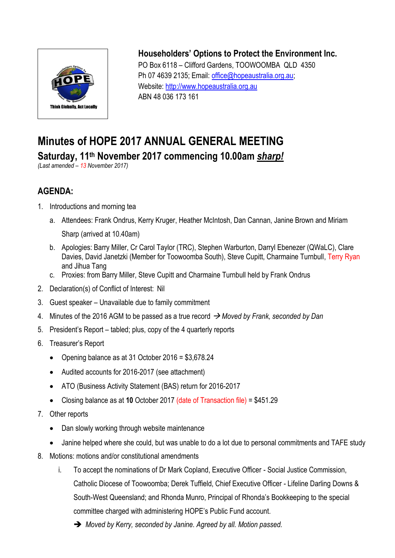

## **Householders' Options to Protect the Environment Inc.**

PO Box 6118 – Clifford Gardens, TOOWOOMBA QLD 4350 Ph 07 4639 2135; Email: [office@hopeaustralia.org.au;](mailto:office@hopeaustralia.org.au) Website: [http://www.hopeaustralia.org.au](http://www.hopeaustralia.org.au/) ABN 48 036 173 161

## **Minutes of HOPE 2017 ANNUAL GENERAL MEETING Saturday, 11 th November 2017 commencing 10.00am** *sharp!*

*(Last amended – 13 November 2017)*

## **AGENDA:**

- 1. Introductions and morning tea
	- a. Attendees: Frank Ondrus, Kerry Kruger, Heather McIntosh, Dan Cannan, Janine Brown and Miriam Sharp (arrived at 10.40am)
	- b. Apologies: Barry Miller, Cr Carol Taylor (TRC), Stephen Warburton, Darryl Ebenezer (QWaLC), Clare Davies, David Janetzki (Member for Toowoomba South), Steve Cupitt, Charmaine Turnbull, Terry Ryan and Jihua Tang
	- c. Proxies: from Barry Miller, Steve Cupitt and Charmaine Turnbull held by Frank Ondrus
- 2. Declaration(s) of Conflict of Interest: Nil
- 3. Guest speaker Unavailable due to family commitment
- 4. Minutes of the 2016 AGM to be passed as a true record *Moved by Frank, seconded by Dan*
- 5. President's Report tabled; plus, copy of the 4 quarterly reports
- 6. Treasurer's Report
	- Opening balance as at 31 October 2016 = \$3,678.24
	- Audited accounts for 2016-2017 (see attachment)
	- ATO (Business Activity Statement (BAS) return for 2016-2017
	- Closing balance as at **10** October 2017 (date of Transaction file) = \$451.29
- 7. Other reports
	- Dan slowly working through website maintenance
	- Janine helped where she could, but was unable to do a lot due to personal commitments and TAFE study
- 8. Motions: motions and/or constitutional amendments
	- i. To accept the nominations of Dr Mark Copland, Executive Officer Social Justice Commission, Catholic Diocese of Toowoomba; Derek Tuffield, Chief Executive Officer - Lifeline Darling Downs & South-West Queensland; and Rhonda Munro, Principal of Rhonda's Bookkeeping to the special committee charged with administering HOPE's Public Fund account.
		- *Moved by Kerry, seconded by Janine. Agreed by all. Motion passed.*